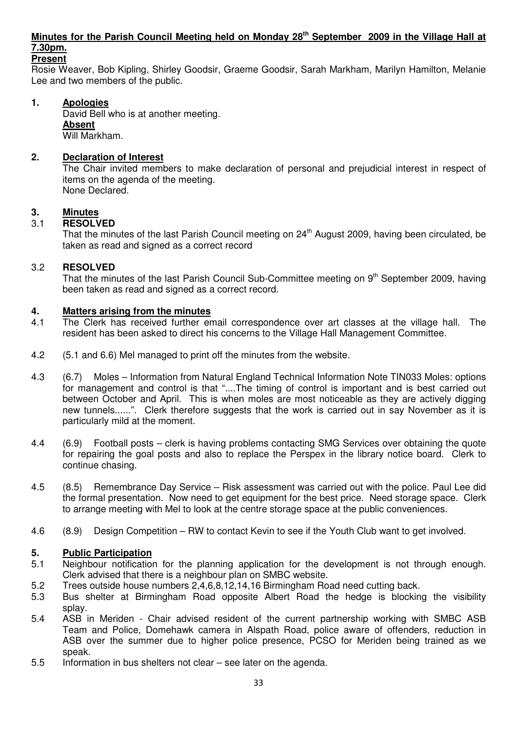## **Minutes for the Parish Council Meeting held on Monday 28th September 2009 in the Village Hall at 7.30pm.**

### **Present**

Rosie Weaver, Bob Kipling, Shirley Goodsir, Graeme Goodsir, Sarah Markham, Marilyn Hamilton, Melanie Lee and two members of the public.

#### **1. Apologies**

David Bell who is at another meeting.  **Absent** Will Markham.

### **2. Declaration of Interest**

The Chair invited members to make declaration of personal and prejudicial interest in respect of items on the agenda of the meeting. None Declared.

# **3.** Minutes<br>3.1 **RESOLV**

#### 3.1 **RESOLVED**

That the minutes of the last Parish Council meeting on 24<sup>th</sup> August 2009, having been circulated, be taken as read and signed as a correct record

### 3.2 **RESOLVED**

That the minutes of the last Parish Council Sub-Committee meeting on 9<sup>th</sup> September 2009, having been taken as read and signed as a correct record.

#### **4. Matters arising from the minutes**

- 4.1 The Clerk has received further email correspondence over art classes at the village hall. The resident has been asked to direct his concerns to the Village Hall Management Committee.
- 4.2 (5.1 and 6.6) Mel managed to print off the minutes from the website.
- 4.3 (6.7) Moles Information from Natural England Technical Information Note TIN033 Moles: options for management and control is that "....The timing of control is important and is best carried out between October and April. This is when moles are most noticeable as they are actively digging new tunnels......". Clerk therefore suggests that the work is carried out in say November as it is particularly mild at the moment.
- 4.4 (6.9) Football posts clerk is having problems contacting SMG Services over obtaining the quote for repairing the goal posts and also to replace the Perspex in the library notice board. Clerk to continue chasing.
- 4.5 (8.5) Remembrance Day Service Risk assessment was carried out with the police. Paul Lee did the formal presentation. Now need to get equipment for the best price. Need storage space. Clerk to arrange meeting with Mel to look at the centre storage space at the public conveniences.
- 4.6 (8.9) Design Competition RW to contact Kevin to see if the Youth Club want to get involved.

#### **5. Public Participation**

- 5.1 Neighbour notification for the planning application for the development is not through enough. Clerk advised that there is a neighbour plan on SMBC website.
- 5.2 Trees outside house numbers 2,4,6,8,12,14,16 Birmingham Road need cutting back.
- 5.3 Bus shelter at Birmingham Road opposite Albert Road the hedge is blocking the visibility splay.
- 5.4 ASB in Meriden Chair advised resident of the current partnership working with SMBC ASB Team and Police, Domehawk camera in Alspath Road, police aware of offenders, reduction in ASB over the summer due to higher police presence, PCSO for Meriden being trained as we speak.
- 5.5 Information in bus shelters not clear see later on the agenda.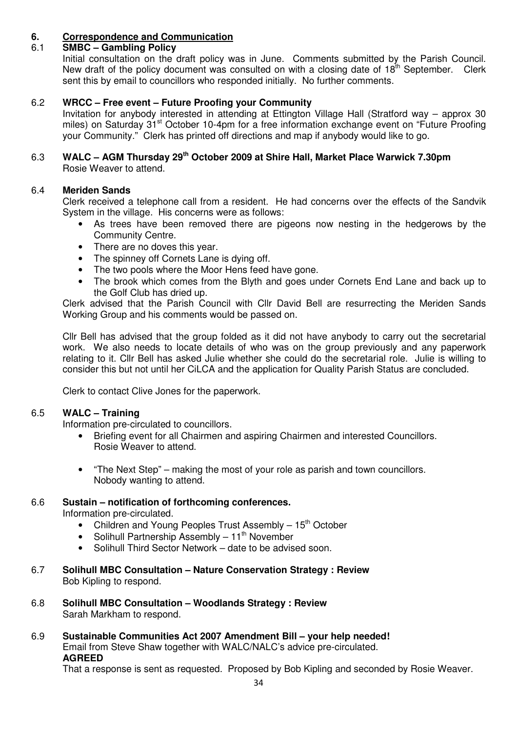## **6. Correspondence and Communication**

## 6.1 **SMBC – Gambling Policy**

Initial consultation on the draft policy was in June. Comments submitted by the Parish Council. New draft of the policy document was consulted on with a closing date of  $18<sup>th</sup>$  September. Clerk sent this by email to councillors who responded initially. No further comments.

### 6.2 **WRCC – Free event – Future Proofing your Community**

Invitation for anybody interested in attending at Ettington Village Hall (Stratford way – approx 30 miles) on Saturday 31<sup>st</sup> October 10-4pm for a free information exchange event on "Future Proofing your Community." Clerk has printed off directions and map if anybody would like to go.

#### 6.3 **WALC – AGM Thursday 29th October 2009 at Shire Hall, Market Place Warwick 7.30pm**  Rosie Weaver to attend.

### 6.4 **Meriden Sands**

Clerk received a telephone call from a resident. He had concerns over the effects of the Sandvik System in the village. His concerns were as follows:

- As trees have been removed there are pigeons now nesting in the hedgerows by the Community Centre.
- There are no doves this year.
- The spinney off Cornets Lane is dying off.
- The two pools where the Moor Hens feed have gone.
- The brook which comes from the Blyth and goes under Cornets End Lane and back up to the Golf Club has dried up.

Clerk advised that the Parish Council with Cllr David Bell are resurrecting the Meriden Sands Working Group and his comments would be passed on.

Cllr Bell has advised that the group folded as it did not have anybody to carry out the secretarial work. We also needs to locate details of who was on the group previously and any paperwork relating to it. Cllr Bell has asked Julie whether she could do the secretarial role. Julie is willing to consider this but not until her CiLCA and the application for Quality Parish Status are concluded.

Clerk to contact Clive Jones for the paperwork.

### 6.5 **WALC – Training**

Information pre-circulated to councillors.

- Briefing event for all Chairmen and aspiring Chairmen and interested Councillors. Rosie Weaver to attend.
- "The Next Step" making the most of your role as parish and town councillors. Nobody wanting to attend.

#### 6.6 **Sustain – notification of forthcoming conferences.** Information pre-circulated.

- Children and Young Peoples Trust Assembly  $-15<sup>th</sup>$  October
- Solihull Partnership Assembly  $-11^{th}$  November
- Solihull Third Sector Network date to be advised soon.
- 6.7 **Solihull MBC Consultation Nature Conservation Strategy : Review**  Bob Kipling to respond.
- 6.8 **Solihull MBC Consultation Woodlands Strategy : Review**  Sarah Markham to respond.
- 6.9 **Sustainable Communities Act 2007 Amendment Bill your help needed!**  Email from Steve Shaw together with WALC/NALC's advice pre-circulated. **AGREED**

That a response is sent as requested. Proposed by Bob Kipling and seconded by Rosie Weaver.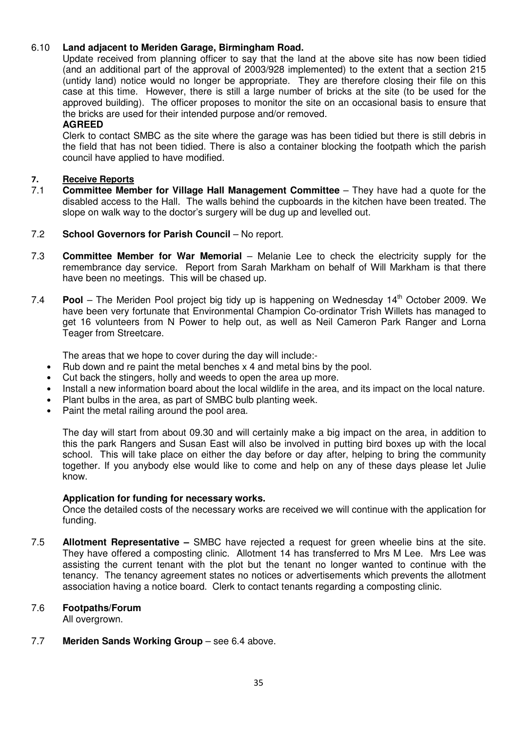#### 6.10 **Land adjacent to Meriden Garage, Birmingham Road.**

Update received from planning officer to say that the land at the above site has now been tidied (and an additional part of the approval of 2003/928 implemented) to the extent that a section 215 (untidy land) notice would no longer be appropriate. They are therefore closing their file on this case at this time. However, there is still a large number of bricks at the site (to be used for the approved building). The officer proposes to monitor the site on an occasional basis to ensure that the bricks are used for their intended purpose and/or removed.

#### **AGREED**

 Clerk to contact SMBC as the site where the garage was has been tidied but there is still debris in the field that has not been tidied. There is also a container blocking the footpath which the parish council have applied to have modified.

## 7. Receive Reports<br>7.1 Committee Mem

- 7.1 **Committee Member for Village Hall Management Committee**  They have had a quote for the disabled access to the Hall. The walls behind the cupboards in the kitchen have been treated. The slope on walk way to the doctor's surgery will be dug up and levelled out.
- 7.2 **School Governors for Parish Council** No report.
- 7.3 **Committee Member for War Memorial**  Melanie Lee to check the electricity supply for the remembrance day service. Report from Sarah Markham on behalf of Will Markham is that there have been no meetings. This will be chased up.
- 7.4 **Pool** The Meriden Pool project big tidy up is happening on Wednesday 14<sup>th</sup> October 2009. We have been very fortunate that Environmental Champion Co-ordinator Trish Willets has managed to get 16 volunteers from N Power to help out, as well as Neil Cameron Park Ranger and Lorna Teager from Streetcare.

The areas that we hope to cover during the day will include:-

- Rub down and re paint the metal benches x 4 and metal bins by the pool.
- Cut back the stingers, holly and weeds to open the area up more.
- Install a new information board about the local wildlife in the area, and its impact on the local nature.
- Plant bulbs in the area, as part of SMBC bulb planting week.
- Paint the metal railing around the pool area.

 The day will start from about 09.30 and will certainly make a big impact on the area, in addition to this the park Rangers and Susan East will also be involved in putting bird boxes up with the local school. This will take place on either the day before or day after, helping to bring the community together. If you anybody else would like to come and help on any of these days please let Julie know.

#### **Application for funding for necessary works.**

Once the detailed costs of the necessary works are received we will continue with the application for funding.

7.5 **Allotment Representative –** SMBC have rejected a request for green wheelie bins at the site. They have offered a composting clinic. Allotment 14 has transferred to Mrs M Lee. Mrs Lee was assisting the current tenant with the plot but the tenant no longer wanted to continue with the tenancy. The tenancy agreement states no notices or advertisements which prevents the allotment association having a notice board. Clerk to contact tenants regarding a composting clinic.

#### 7.6 **Footpaths/Forum**

All overgrown.

7.7 **Meriden Sands Working Group** – see 6.4 above.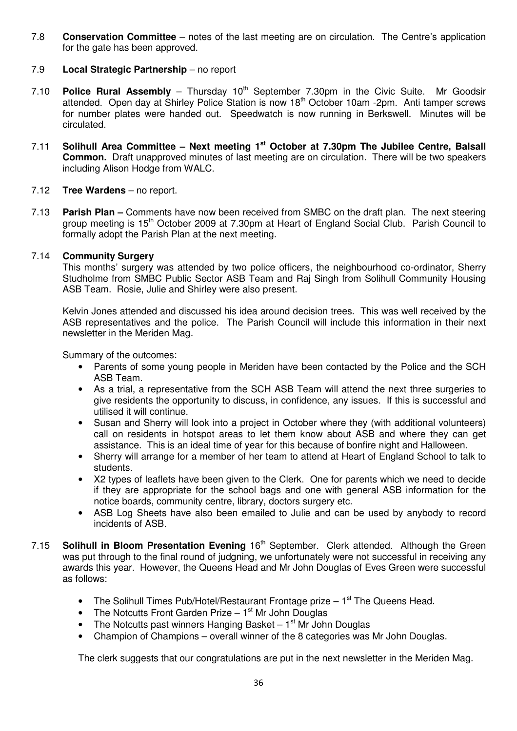7.8 **Conservation Committee** – notes of the last meeting are on circulation. The Centre's application for the gate has been approved.

#### 7.9 **Local Strategic Partnership** – no report

- 7.10 **Police Rural Assembly** Thursday  $10<sup>th</sup>$  September 7.30pm in the Civic Suite. Mr Goodsir attended. Open day at Shirley Police Station is now 18th October 10am -2pm. Anti tamper screws for number plates were handed out. Speedwatch is now running in Berkswell. Minutes will be circulated.
- 7.11 **Solihull Area Committee Next meeting 1st October at 7.30pm The Jubilee Centre, Balsall Common.** Draft unapproved minutes of last meeting are on circulation. There will be two speakers including Alison Hodge from WALC.

#### 7.12 **Tree Wardens** – no report.

7.13 **Parish Plan –** Comments have now been received from SMBC on the draft plan. The next steering group meeting is 15<sup>th</sup> October 2009 at 7.30pm at Heart of England Social Club. Parish Council to formally adopt the Parish Plan at the next meeting.

#### 7.14 **Community Surgery**

 This months' surgery was attended by two police officers, the neighbourhood co-ordinator, Sherry Studholme from SMBC Public Sector ASB Team and Raj Singh from Solihull Community Housing ASB Team. Rosie, Julie and Shirley were also present.

 Kelvin Jones attended and discussed his idea around decision trees. This was well received by the ASB representatives and the police. The Parish Council will include this information in their next newsletter in the Meriden Mag.

Summary of the outcomes:

- Parents of some young people in Meriden have been contacted by the Police and the SCH ASB Team.
- As a trial, a representative from the SCH ASB Team will attend the next three surgeries to give residents the opportunity to discuss, in confidence, any issues. If this is successful and utilised it will continue.
- Susan and Sherry will look into a project in October where they (with additional volunteers) call on residents in hotspot areas to let them know about ASB and where they can get assistance. This is an ideal time of year for this because of bonfire night and Halloween.
- Sherry will arrange for a member of her team to attend at Heart of England School to talk to students.
- X2 types of leaflets have been given to the Clerk. One for parents which we need to decide if they are appropriate for the school bags and one with general ASB information for the notice boards, community centre, library, doctors surgery etc.
- ASB Log Sheets have also been emailed to Julie and can be used by anybody to record incidents of ASB.
- 7.15 **Solihull in Bloom Presentation Evening** 16<sup>th</sup> September. Clerk attended. Although the Green was put through to the final round of judgning, we unfortunately were not successful in receiving any awards this year. However, the Queens Head and Mr John Douglas of Eves Green were successful as follows:
	- The Solihull Times Pub/Hotel/Restaurant Frontage prize  $-1<sup>st</sup>$  The Queens Head.
	- The Notcutts Front Garden Prize  $-1$ <sup>st</sup> Mr John Douglas
	- The Notcutts past winners Hanging Basket  $-1$ <sup>st</sup> Mr John Douglas
	- Champion of Champions overall winner of the 8 categories was Mr John Douglas.

The clerk suggests that our congratulations are put in the next newsletter in the Meriden Mag.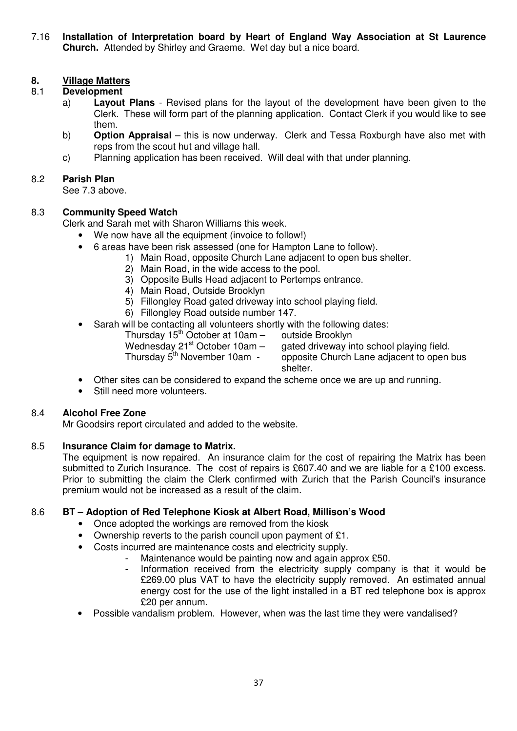7.16 **Installation of Interpretation board by Heart of England Way Association at St Laurence Church.** Attended by Shirley and Graeme. Wet day but a nice board.

## **8.** Village Matters<br>8.1 Development

#### 8.1 **Development**

- a) **Layout Plans** Revised plans for the layout of the development have been given to the Clerk. These will form part of the planning application. Contact Clerk if you would like to see them.
- b) **Option Appraisal**  this is now underway. Clerk and Tessa Roxburgh have also met with reps from the scout hut and village hall.
- c) Planning application has been received. Will deal with that under planning.

#### 8.2 **Parish Plan**

See 7.3 above.

## 8.3 **Community Speed Watch**

Clerk and Sarah met with Sharon Williams this week.

- We now have all the equipment (invoice to follow!)
- 6 areas have been risk assessed (one for Hampton Lane to follow).
	- 1) Main Road, opposite Church Lane adjacent to open bus shelter.
		- 2) Main Road, in the wide access to the pool.
		- 3) Opposite Bulls Head adjacent to Pertemps entrance.
		- 4) Main Road, Outside Brooklyn
		- 5) Fillongley Road gated driveway into school playing field.
			- 6) Fillongley Road outside number 147.
- Sarah will be contacting all volunteers shortly with the following dates:
	- Thursday  $15<sup>th</sup>$  October at 10am outside Brooklyn

Wednesday 21<sup>st</sup> October 10am – gated driveway into school playing field.<br>Thursday 5<sup>th</sup> November 10am - opposite Church Lane adjacent to open

opposite Church Lane adjacent to open bus shelter.

- Other sites can be considered to expand the scheme once we are up and running.
- Still need more volunteers.

## 8.4 **Alcohol Free Zone**

Mr Goodsirs report circulated and added to the website.

#### 8.5 **Insurance Claim for damage to Matrix.**

 The equipment is now repaired. An insurance claim for the cost of repairing the Matrix has been submitted to Zurich Insurance. The cost of repairs is £607.40 and we are liable for a £100 excess. Prior to submitting the claim the Clerk confirmed with Zurich that the Parish Council's insurance premium would not be increased as a result of the claim.

## 8.6 **BT – Adoption of Red Telephone Kiosk at Albert Road, Millison's Wood**

- Once adopted the workings are removed from the kiosk
- Ownership reverts to the parish council upon payment of £1.
- Costs incurred are maintenance costs and electricity supply.
	- Maintenance would be painting now and again approx £50.
		- Information received from the electricity supply company is that it would be £269.00 plus VAT to have the electricity supply removed. An estimated annual energy cost for the use of the light installed in a BT red telephone box is approx £20 per annum.
- Possible vandalism problem. However, when was the last time they were vandalised?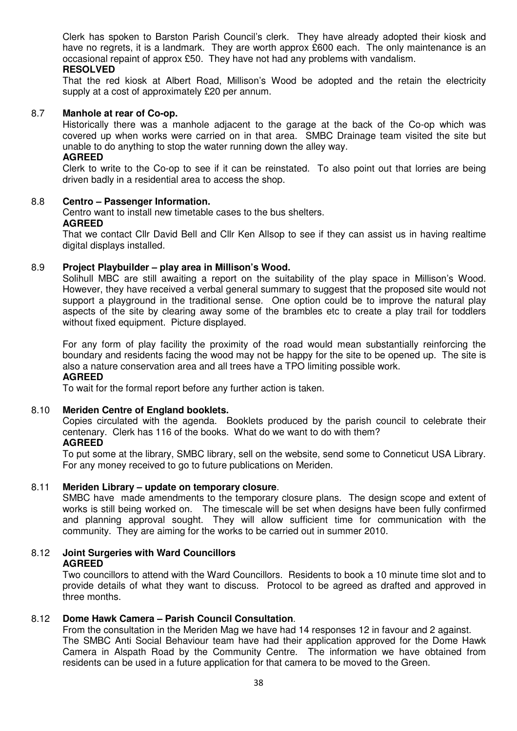Clerk has spoken to Barston Parish Council's clerk. They have already adopted their kiosk and have no regrets, it is a landmark. They are worth approx £600 each. The only maintenance is an occasional repaint of approx £50. They have not had any problems with vandalism.

#### **RESOLVED**

That the red kiosk at Albert Road, Millison's Wood be adopted and the retain the electricity supply at a cost of approximately £20 per annum.

#### 8.7 **Manhole at rear of Co-op.**

 Historically there was a manhole adjacent to the garage at the back of the Co-op which was covered up when works were carried on in that area. SMBC Drainage team visited the site but unable to do anything to stop the water running down the alley way.

#### **AGREED**

 Clerk to write to the Co-op to see if it can be reinstated. To also point out that lorries are being driven badly in a residential area to access the shop.

#### 8.8 **Centro – Passenger Information.**

 Centro want to install new timetable cases to the bus shelters. **AGREED** 

 That we contact Cllr David Bell and Cllr Ken Allsop to see if they can assist us in having realtime digital displays installed.

#### 8.9 **Project Playbuilder – play area in Millison's Wood.**

 Solihull MBC are still awaiting a report on the suitability of the play space in Millison's Wood. However, they have received a verbal general summary to suggest that the proposed site would not support a playground in the traditional sense. One option could be to improve the natural play aspects of the site by clearing away some of the brambles etc to create a play trail for toddlers without fixed equipment. Picture displayed.

 For any form of play facility the proximity of the road would mean substantially reinforcing the boundary and residents facing the wood may not be happy for the site to be opened up. The site is also a nature conservation area and all trees have a TPO limiting possible work.

## **AGREED**

To wait for the formal report before any further action is taken.

#### 8.10 **Meriden Centre of England booklets.**

 Copies circulated with the agenda. Booklets produced by the parish council to celebrate their centenary. Clerk has 116 of the books. What do we want to do with them?

#### **AGREED**

 To put some at the library, SMBC library, sell on the website, send some to Conneticut USA Library. For any money received to go to future publications on Meriden.

#### 8.11 **Meriden Library – update on temporary closure**.

 SMBC have made amendments to the temporary closure plans. The design scope and extent of works is still being worked on. The timescale will be set when designs have been fully confirmed and planning approval sought. They will allow sufficient time for communication with the community. They are aiming for the works to be carried out in summer 2010.

#### 8.12 **Joint Surgeries with Ward Councillors AGREED**

 Two councillors to attend with the Ward Councillors. Residents to book a 10 minute time slot and to provide details of what they want to discuss. Protocol to be agreed as drafted and approved in three months.

### 8.12 **Dome Hawk Camera – Parish Council Consultation**.

From the consultation in the Meriden Mag we have had 14 responses 12 in favour and 2 against. The SMBC Anti Social Behaviour team have had their application approved for the Dome Hawk Camera in Alspath Road by the Community Centre. The information we have obtained from residents can be used in a future application for that camera to be moved to the Green.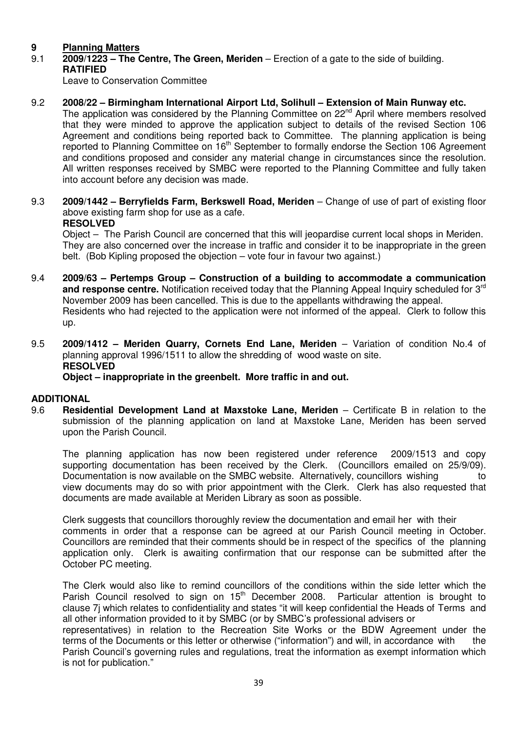## **9 Planning Matters**<br>9.1 **2009/1223 - The O**

9.1 **2009/1223 – The Centre, The Green, Meriden** – Erection of a gate to the side of building.  **RATIFIED** 

Leave to Conservation Committee

9.2 **2008/22 – Birmingham International Airport Ltd, Solihull – Extension of Main Runway etc.** 

The application was considered by the Planning Committee on 22<sup>nd</sup> April where members resolved that they were minded to approve the application subject to details of the revised Section 106 Agreement and conditions being reported back to Committee. The planning application is being reported to Planning Committee on 16<sup>th</sup> September to formally endorse the Section 106 Agreement and conditions proposed and consider any material change in circumstances since the resolution. All written responses received by SMBC were reported to the Planning Committee and fully taken into account before any decision was made.

9.3 **2009/1442 – Berryfields Farm, Berkswell Road, Meriden** – Change of use of part of existing floor above existing farm shop for use as a cafe.

## **RESOLVED**

Object –The Parish Council are concerned that this will jeopardise current local shops in Meriden. They are also concerned over the increase in traffic and consider it to be inappropriate in the green belt. (Bob Kipling proposed the objection – vote four in favour two against.)

- 9.4 **2009/63 Pertemps Group Construction of a building to accommodate a communication and response centre.** Notification received today that the Planning Appeal Inquiry scheduled for 3rd November 2009 has been cancelled. This is due to the appellants withdrawing the appeal. Residents who had rejected to the application were not informed of the appeal. Clerk to follow this up.
- 9.5 **2009/1412 Meriden Quarry, Cornets End Lane, Meriden** Variation of condition No.4 of planning approval 1996/1511 to allow the shredding of wood waste on site. **RESOLVED Object – inappropriate in the greenbelt. More traffic in and out.**

## **ADDITIONAL**

9.6 **Residential Development Land at Maxstoke Lane, Meriden** – Certificate B in relation to the submission of the planning application on land at Maxstoke Lane, Meriden has been served upon the Parish Council.

 The planning application has now been registered under reference 2009/1513 and copy supporting documentation has been received by the Clerk. (Councillors emailed on 25/9/09). Documentation is now available on the SMBC website. Alternatively, councillors wishing to view documents may do so with prior appointment with the Clerk. Clerk has also requested that documents are made available at Meriden Library as soon as possible.

 Clerk suggests that councillors thoroughly review the documentation and email her with their comments in order that a response can be agreed at our Parish Council meeting in October. Councillors are reminded that their comments should be in respect of the specifics of the planning application only. Clerk is awaiting confirmation that our response can be submitted after the October PC meeting.

 The Clerk would also like to remind councillors of the conditions within the side letter which the Parish Council resolved to sign on 15<sup>th</sup> December 2008. Particular attention is brought to clause 7j which relates to confidentiality and states "it will keep confidential the Heads of Terms and all other information provided to it by SMBC (or by SMBC's professional advisers or

 representatives) in relation to the Recreation Site Works or the BDW Agreement under the terms of the Documents or this letter or otherwise ("information") and will, in accordance with the Parish Council's governing rules and regulations, treat the information as exempt information which is not for publication."